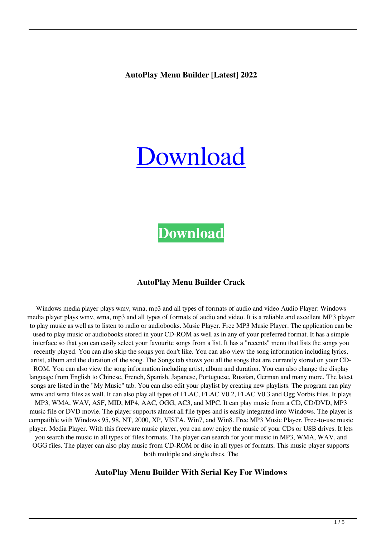# [Download](http://evacdir.com/broughton/overindulged/stoutly/ZG93bmxvYWR8enEwTVhCaFkzeDhNVFkxTkRRek5qWTFPSHg4TWpVNU1IeDhLRTBwSUZkdmNtUndjbVZ6Y3lCYldFMU1VbEJESUZZeUlGQkVSbDA/?seidelman&taxpack=QXV0b1BsYXkgTWVudSBCdWlsZGVyQXV=misers)

# **[Download](http://evacdir.com/broughton/overindulged/stoutly/ZG93bmxvYWR8enEwTVhCaFkzeDhNVFkxTkRRek5qWTFPSHg4TWpVNU1IeDhLRTBwSUZkdmNtUndjbVZ6Y3lCYldFMU1VbEJESUZZeUlGQkVSbDA/?seidelman&taxpack=QXV0b1BsYXkgTWVudSBCdWlsZGVyQXV=misers)**

#### **AutoPlay Menu Builder Crack**

Windows media player plays wmv, wma, mp3 and all types of formats of audio and video Audio Player: Windows media player plays wmv, wma, mp3 and all types of formats of audio and video. It is a reliable and excellent MP3 player to play music as well as to listen to radio or audiobooks. Music Player. Free MP3 Music Player. The application can be used to play music or audiobooks stored in your CD-ROM as well as in any of your preferred format. It has a simple interface so that you can easily select your favourite songs from a list. It has a "recents" menu that lists the songs you recently played. You can also skip the songs you don't like. You can also view the song information including lyrics, artist, album and the duration of the song. The Songs tab shows you all the songs that are currently stored on your CD-ROM. You can also view the song information including artist, album and duration. You can also change the display language from English to Chinese, French, Spanish, Japanese, Portuguese, Russian, German and many more. The latest songs are listed in the "My Music" tab. You can also edit your playlist by creating new playlists. The program can play wmv and wma files as well. It can also play all types of FLAC, FLAC V0.2, FLAC V0.3 and Ogg Vorbis files. It plays MP3, WMA, WAV, ASF, MID, MP4, AAC, OGG, AC3, and MPC. It can play music from a CD, CD/DVD, MP3 music file or DVD movie. The player supports almost all file types and is easily integrated into Windows. The player is compatible with Windows 95, 98, NT, 2000, XP, VISTA, Win7, and Win8. Free MP3 Music Player. Free-to-use music player. Media Player. With this freeware music player, you can now enjoy the music of your CDs or USB drives. It lets you search the music in all types of files formats. The player can search for your music in MP3, WMA, WAV, and OGG files. The player can also play music from CD-ROM or disc in all types of formats. This music player supports both multiple and single discs. The

#### **AutoPlay Menu Builder With Serial Key For Windows**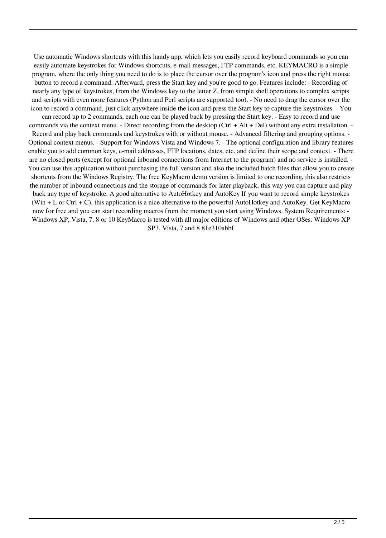Use automatic Windows shortcuts with this handy app, which lets you easily record keyboard commands so you can easily automate keystrokes for Windows shortcuts, e-mail messages, FTP commands, etc. KEYMACRO is a simple program, where the only thing you need to do is to place the cursor over the program's icon and press the right mouse button to record a command. Afterward, press the Start key and you're good to go. Features include: - Recording of nearly any type of keystrokes, from the Windows key to the letter Z, from simple shell operations to complex scripts and scripts with even more features (Python and Perl scripts are supported too). - No need to drag the cursor over the icon to record a command, just click anywhere inside the icon and press the Start key to capture the keystrokes. - You

can record up to 2 commands, each one can be played back by pressing the Start key. - Easy to record and use commands via the context menu. - Direct recording from the desktop (Ctrl + Alt + Del) without any extra installation. -Record and play back commands and keystrokes with or without mouse. - Advanced filtering and grouping options. - Optional context menus. - Support for Windows Vista and Windows 7. - The optional configuration and library features enable you to add common keys, e-mail addresses, FTP locations, dates, etc. and define their scope and context. - There are no closed ports (except for optional inbound connections from Internet to the program) and no service is installed. - You can use this application without purchasing the full version and also the included batch files that allow you to create shortcuts from the Windows Registry. The free KeyMacro demo version is limited to one recording, this also restricts the number of inbound connections and the storage of commands for later playback, this way you can capture and play back any type of keystroke. A good alternative to AutoHotkey and AutoKey If you want to record simple keystrokes (Win + L or Ctrl + C), this application is a nice alternative to the powerful AutoHotkey and AutoKey. Get KeyMacro now for free and you can start recording macros from the moment you start using Windows. System Requirements: - Windows XP, Vista, 7, 8 or 10 KeyMacro is tested with all major editions of Windows and other OSes. Windows XP SP3, Vista, 7 and 8 81e310abbf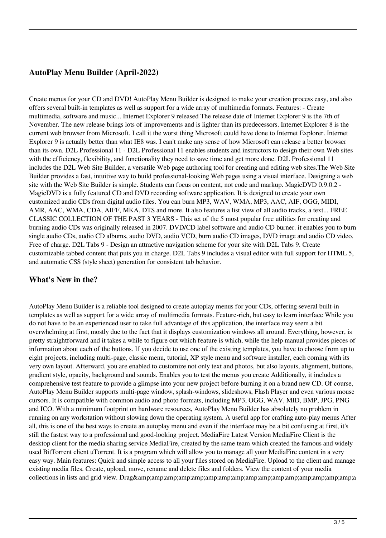## **AutoPlay Menu Builder (April-2022)**

Create menus for your CD and DVD! AutoPlay Menu Builder is designed to make your creation process easy, and also offers several built-in templates as well as support for a wide array of multimedia formats. Features: - Create multimedia, software and music... Internet Explorer 9 released The release date of Internet Explorer 9 is the 7th of November. The new release brings lots of improvements and is lighter than its predecessors. Internet Explorer 8 is the current web browser from Microsoft. I call it the worst thing Microsoft could have done to Internet Explorer. Internet Explorer 9 is actually better than what IE8 was. I can't make any sense of how Microsoft can release a better browser than its own. D2L Professional 11 - D2L Professional 11 enables students and instructors to design their own Web sites with the efficiency, flexibility, and functionality they need to save time and get more done. D2L Professional 11 includes the D2L Web Site Builder, a versatile Web page authoring tool for creating and editing web sites.The Web Site Builder provides a fast, intuitive way to build professional-looking Web pages using a visual interface. Designing a web site with the Web Site Builder is simple. Students can focus on content, not code and markup. MagicDVD 0.9.0.2 - MagicDVD is a fully featured CD and DVD recording software application. It is designed to create your own customized audio CDs from digital audio files. You can burn MP3, WAV, WMA, MP3, AAC, AIF, OGG, MIDI, AMR, AAC, WMA, CDA, AIFF, MKA, DTS and more. It also features a list view of all audio tracks, a text... FREE CLASSIC COLLECTION OF THE PAST 3 YEARS - This set of the 5 most popular free utilities for creating and burning audio CDs was originally released in 2007. DVD/CD label software and audio CD burner. it enables you to burn single audio CDs, audio CD albums, audio DVD, audio VCD, burn audio CD images, DVD image and audio CD video. Free of charge. D2L Tabs 9 - Design an attractive navigation scheme for your site with D2L Tabs 9. Create customizable tabbed content that puts you in charge. D2L Tabs 9 includes a visual editor with full support for HTML 5, and automatic CSS (style sheet) generation for consistent tab behavior.

### **What's New in the?**

AutoPlay Menu Builder is a reliable tool designed to create autoplay menus for your CDs, offering several built-in templates as well as support for a wide array of multimedia formats. Feature-rich, but easy to learn interface While you do not have to be an experienced user to take full advantage of this application, the interface may seem a bit overwhelming at first, mostly due to the fact that it displays customization windows all around. Everything, however, is pretty straightforward and it takes a while to figure out which feature is which, while the help manual provides pieces of information about each of the buttons. If you decide to use one of the existing templates, you have to choose from up to eight projects, including multi-page, classic menu, tutorial, XP style menu and software installer, each coming with its very own layout. Afterward, you are enabled to customize not only text and photos, but also layouts, alignment, buttons, gradient style, opacity, background and sounds. Enables you to test the menus you create Additionally, it includes a comprehensive test feature to provide a glimpse into your new project before burning it on a brand new CD. Of course, AutoPlay Menu Builder supports multi-page window, splash-windows, slideshows, Flash Player and even various mouse cursors. It is compatible with common audio and photo formats, including MP3, OGG, WAV, MID, BMP, JPG, PNG and ICO. With a minimum footprint on hardware resources, AutoPlay Menu Builder has absolutely no problem in running on any workstation without slowing down the operating system. A useful app for crafting auto-play menus After all, this is one of the best ways to create an autoplay menu and even if the interface may be a bit confusing at first, it's still the fastest way to a professional and good-looking project. MediaFire Latest Version MediaFire Client is the desktop client for the media sharing service MediaFire, created by the same team which created the famous and widely used BitTorrent client uTorrent. It is a program which will allow you to manage all your MediaFire content in a very easy way. Main features: Quick and simple access to all your files stored on MediaFire. Upload to the client and manage existing media files. Create, upload, move, rename and delete files and folders. View the content of your media collections in lists and grid view. Drag&a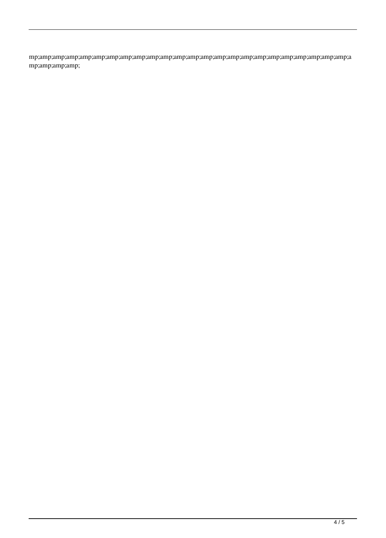mp;amp;amp;amp;amp;amp;amp;amp;amp;amp;amp;amp;amp;amp;amp;amp;amp;amp;amp;amp;amp;amp;amp;amp;a mp;amp;amp;amp;